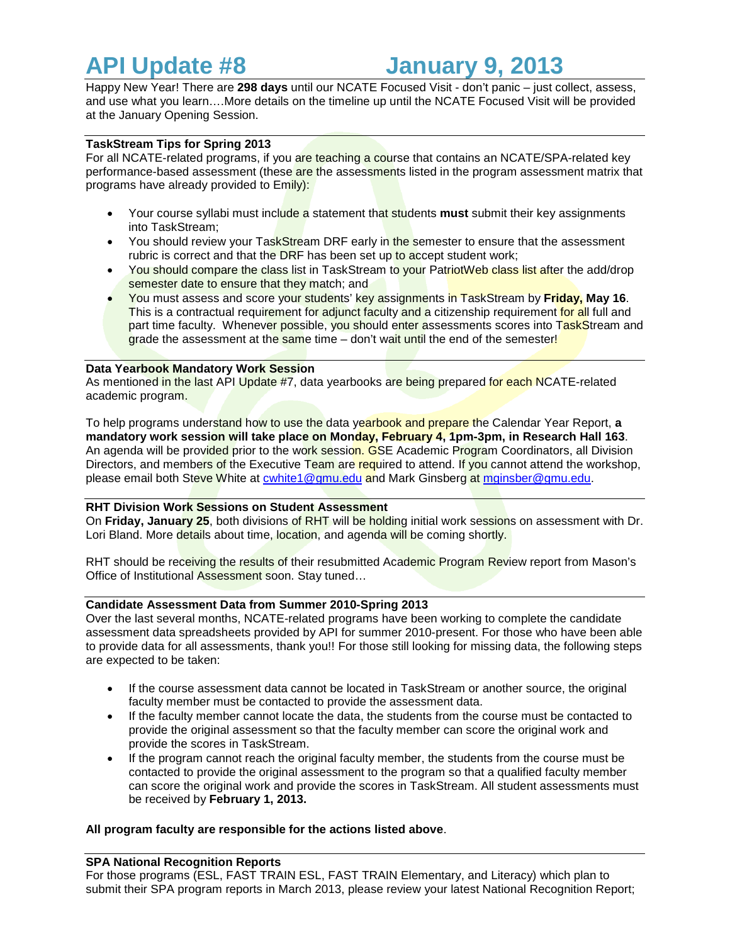# **API Update #8 January 9, 2013**

Happy New Year! There are **298 days** until our NCATE Focused Visit - don't panic – just collect, assess, and use what you learn….More details on the timeline up until the NCATE Focused Visit will be provided at the January Opening Session.

## **TaskStream Tips for Spring 2013**

For all NCATE-related programs, if you are teaching a course that contains an NCATE/SPA-related key performance-based assessment (these are the assessments listed in the program assessment matrix that programs have already provided to Emily):

- Your course syllabi must include a statement that students **must** submit their key assignments into TaskStream;
- You should review your TaskStream DRF early in the semester to ensure that the assessment rubric is correct and that the DRF has been set up to accept student work;
- You should compare the class list in TaskStream to your PatriotWeb class list after the add/drop semester date to ensure that they match; and
- You must assess and score your students' key assignments in TaskStream by **Friday, May 16**. This is a contractual requirement for adjunct faculty and a citizenship requirement for all full and part time faculty. Whenever possible, you should enter assessments scores into TaskStream and grade the assessment at the same time  $-$  don't wait until the end of the semester!

#### **Data Yearbook Mandatory Work Session**

As mentioned in the last API Update #7, data yearbooks are being prepared for each NCATE-related academic program.

To help programs understand how to use the data yearbook and prepare the Calendar Year Report, **a mandatory work session will take place on Monday, February 4, 1pm-3pm, in Research Hall 163**. An agenda will be provided prior to the work session. GSE Academic Program Coordinators, all Division Directors, and members of the Executive Team are required to attend. If you cannot attend the workshop, please email both Steve White at [cwhite1@gmu.edu](mailto:cwhite1@gmu.edu) and Mark Ginsberg at [mginsber@gmu.edu.](mailto:mginsber@gmu.edu)

#### **RHT Division Work Sessions on Student Assessment**

On **Friday, January 25**, both divisions of RHT will be holding initial work sessions on assessment with Dr. Lori Bland. More details about time, location, and agenda will be coming shortly.

RHT should be receiving the results of their resubmitted Academic Program Review report from Mason's Office of Institutional Assessment soon. Stay tuned…

### **Candidate Assessment Data from Summer 2010-Spring 2013**

Over the last several months, NCATE-related programs have been working to complete the candidate assessment data spreadsheets provided by API for summer 2010-present. For those who have been able to provide data for all assessments, thank you!! For those still looking for missing data, the following steps are expected to be taken:

- If the course assessment data cannot be located in TaskStream or another source, the original faculty member must be contacted to provide the assessment data.
- If the faculty member cannot locate the data, the students from the course must be contacted to provide the original assessment so that the faculty member can score the original work and provide the scores in TaskStream.
- If the program cannot reach the original faculty member, the students from the course must be contacted to provide the original assessment to the program so that a qualified faculty member can score the original work and provide the scores in TaskStream. All student assessments must be received by **February 1, 2013.**

#### **All program faculty are responsible for the actions listed above**.

#### **SPA National Recognition Reports**

For those programs (ESL, FAST TRAIN ESL, FAST TRAIN Elementary, and Literacy) which plan to submit their SPA program reports in March 2013, please review your latest National Recognition Report;